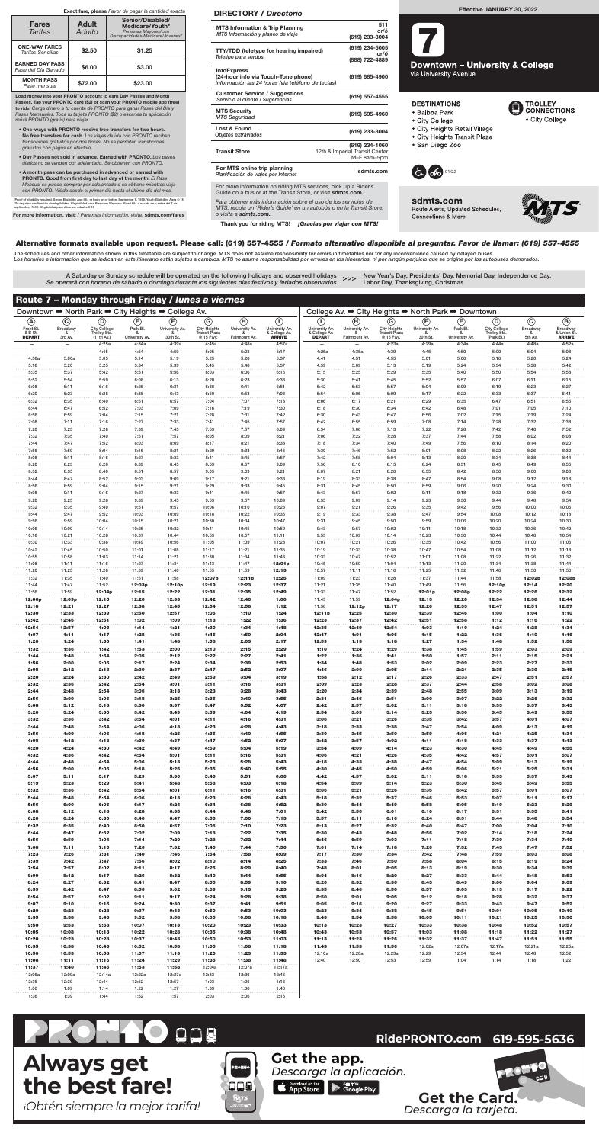| Downtown → North Park → City Heights → College Av. |                          |                            |                |                           |                                   |                | College Av. → City Heights → North Park → Downtown |                                |                                     |                               |                           |                 |                            |                 |                             |
|----------------------------------------------------|--------------------------|----------------------------|----------------|---------------------------|-----------------------------------|----------------|----------------------------------------------------|--------------------------------|-------------------------------------|-------------------------------|---------------------------|-----------------|----------------------------|-----------------|-----------------------------|
| $\circledA$                                        | $\odot$                  | $^{\circledR}$             | $\circlede$    | $\left(\mathbf{F}\right)$ | $\odot$                           | $\bigoplus$    | $\circ$                                            | $\left( \mathbf{I}\right)$     | $\left(\widehat{\mathbf{H}}\right)$ | $\circledcirc$                | $\left(\mathbf{F}\right)$ | $\circlede$     | $\odot$                    | $\odot$         | $\circledR$                 |
| Front St.                                          | Broadway                 | City College               | Park Bl.       | University Av.            | <b>City Heights</b>               | University Av. | University Av.                                     | University Av.                 | University Av.                      | City Heights<br>Transit Plaza | University Av.            | Park Bl.        | <b>City College</b>        | <b>Broadway</b> | Broadway                    |
| & B St.<br><b>DEPART</b>                           | ୍ୟୁ<br>3rd Av.           | Trolley Sta.<br>(11th Av.) | University Av. | 30th St.                  | <b>Transit Plaza</b><br>@ 15 Fwy. | Fairmount Av.  | & College Av.<br><b>ARRIVE</b>                     | & College Av.<br><b>DEPART</b> | Fairmount Av.                       | @ 15 Fwy.                     | -8<br>30th St.            | University Av.  | Trolley Sta.<br>(Park Bl.) | &<br>5th Av.    | & Union St<br><b>ARRIVE</b> |
| $\overline{\phantom{0}}$                           | $\overline{\phantom{0}}$ | 4:25a                      | 4:34a          | 4:39a                     | 4:45a                             | 4:48a          | 4:57a                                              |                                |                                     | 4:23a                         | 4:29a                     | 4:34a           | 4:44a                      | 4:48a           | 4:52a                       |
| 4:58a                                              | 5:00a                    | 4:45<br>5:05               | 4:54<br>5:14   | 4:59<br>5:19              | 5:05<br>5:25                      | 5:08<br>5:28   | 5:17<br>5:37                                       | 4:25a<br>4:41                  | 4:35a<br>4:51                       | 4:39<br>4:55                  | 4:45<br>5:01              | 4:50<br>5:06    | 5:00<br>5:16               | 5:04<br>5:20    | 5:08<br>5:24                |
| 5:18                                               | 5:20                     | 5:25                       | 5:34           | 5:39                      | 5:45                              | 5:48           | 5:57                                               | 4:59                           | 5:09                                | 5:13                          | 5:19                      | 5:24            | 5:34                       | 5:38            | 5:42                        |
| 5:35                                               | 5:37                     | 5:42                       | 5:51           | 5:56                      | 6:03                              | 6:06           | 6:16                                               | 5:15                           | 5:25                                | 5:29                          | 5:35                      | 5:40            | 5:50                       | 5:54            | 5:58                        |
| 5:52                                               | 5:54                     | 5:59                       | 6:08           | 6:13                      | 6:20                              | 6:23           | 6:33                                               | 5:30                           | 5:41                                | 5:45                          | 5:52                      | 5:57            | 6:07                       | 6:11            | 6:15                        |
| 6:08<br>6:20                                       | 6:11<br>6:23             | 6:16<br>6:28               | 6:26<br>6:38   | 6:31<br>6:43              | 6:38<br>6:50                      | 6:41<br>6:53   | 6:51<br>7:03                                       | 5:42<br>5:54                   | 5:53<br>6:05                        | 5:57<br>6:09                  | 6:04<br>6:17              | 6:09<br>6:22    | 6:19<br>6:33               | 6:23<br>6:37    | 6:27<br>6:41                |
| 6:32                                               | 6:35                     | 6:40                       | 6:51           | 6:57                      | 7:04                              | 7:07           | 7:18                                               | 6:06                           | 6:17                                | 6:21                          | 6:29                      | 6:35            | 6:47                       | 6:51            | 6:55                        |
| 6:44                                               | 6:47                     | 6:52                       | 7:03           | 7:09                      | 7:16                              | 7:19           | 7:30                                               | 6:18                           | 6:30                                | 6:34                          | 6:42                      | 6:48            | 7:01                       | 7:05            | 7:10                        |
| 6:56                                               | 6:59                     | 7:04                       | 7:15           | 7:21                      | 7:28                              | 7:31           | 7:42                                               | 6:30                           | 6:43                                | 6:47                          | 6:56                      | 7:02            | 7:15                       | 7:19            | 7:24                        |
| 7:08                                               | 7:11                     | 7:16                       | 7:27           | 7:33                      | 7:41                              | 7:45           | 7:57                                               | 6:42                           | 6:55                                | 6:59                          | 7:08                      | 7:14            | 7:28                       | 7:32            | 7:38                        |
| 7:20<br>7:32                                       | 7:23<br>7:35             | 7:28<br>7:40               | 7:39<br>7:51   | 7:45<br>7:57              | 7:53<br>8:05                      | 7:57<br>8:09   | 8:09<br>8:21                                       | 6:54<br>7:06                   | 7:08<br>7:22                        | 7:13<br>7:28                  | 7:22<br>7:37              | 7:28<br>7:44    | 7:42<br>7:58               | 7:46<br>8:02    | 7:52<br>8:08                |
| 7:44                                               | 7:47                     | 7:52                       | 8:03           | 8:09                      | 8:17                              | 8:21           | 8:33                                               | 7:18                           | 7:34                                | 7:40                          | 7:49                      | 7:56            | 8:10                       | 8:14            | 8:20                        |
| 7:56                                               | 7:59                     | 8:04                       | 8:15           | 8:21                      | 8:29                              | 8:33           | 8:45                                               | 7:30                           | 7:46                                | 7:52                          | 8:01                      | 8:08            | 8:22                       | 8:26            | 8:32                        |
| 8:08                                               | 8:11                     | 8:16                       | 8:27           | 8:33                      | 8:41                              | 8:45           | 8:57                                               | 7:42                           | 7:58                                | 8:04                          | 8:13                      | 8:20            | 8:34                       | 8:38            | 8:44                        |
| 8:20<br>8:32                                       | 8:23<br>8:35             | 8:28<br>8:40               | 8:39           | 8:45<br>8:57              | 8:53<br>9:05                      | 8:57           | 9:09                                               | 7:56<br>8:07                   | 8:10<br>8:21                        | 8:15<br>8:26                  | 8:24<br>8:35              | 8:31<br>8:42    | 8:45<br>8:56               | 8:49<br>9:00    | 8:55<br>9:06                |
| 8:44                                               | 8:47                     | 8:52                       | 8:51<br>9:03   | 9:09                      | 9:17                              | 9:09<br>9:21   | 9:21<br>9:33                                       | 8:19                           | 8:33                                | 8:38                          | 8:47                      | 8:54            | 9:08                       | 9:12            | 9:18                        |
| 8:56                                               | 8:59                     | 9:04                       | 9:15           | 9:21                      | 9:29                              | 9:33           | 9:45                                               | 8:31                           | 8:45                                | 8:50                          | 8:59                      | 9:06            | 9:20                       | 9:24            | 9:30                        |
| 9:08                                               | 9:11                     | 9:16                       | 9:27           | 9:33                      | 9:41                              | 9:45           | 9:57                                               | 8:43                           | 8:57                                | 9:02                          | 9:11                      | 9:18            | 9:32                       | 9:36            | 9:42                        |
| 9:20                                               | 9:23                     | 9:28                       | 9:39           | 9:45                      | 9:53                              | 9:57           | 10:09                                              | 8:55                           | 9:09                                | 9:14                          | 9:23                      | 9:30            | 9:44                       | 9:48            | 9:54                        |
| 9:32<br>9:44                                       | 9:35<br>9:47             | 9:40<br>9:52               | 9:51<br>10:03  | 9:57<br>10:09             | 10:06<br>10:18                    | 10:10<br>10:22 | 10:23<br>10:35                                     | 9:07<br>9:19                   | 9:21<br>9:33                        | 9:26<br>9:38                  | 9:35<br>9:47              | 9:42<br>9:54    | 9:56<br>10:08              | 10:00<br>10:12  | 10:06<br>10:18              |
| 9:56                                               | 9:59                     | 10:04                      | 10:15          | 10:21                     | 10:30                             | 10:34          | 10:47                                              | 9:31                           | 9:45                                | 9:50                          | 9:59                      | 10:06           | 10:20                      | 10:24           | 10:30                       |
| 10:06                                              | 10:09                    | 10:14                      | 10:25          | 10:32                     | 10:41                             | 10:45          | 10:59                                              | 9:43                           | 9:57                                | 10:02                         | 10:11                     | 10:18           | 10:32                      | 10:36           | 10:42                       |
| 10:18                                              | 10:21                    | 10:26                      | 10:37          | 10:44                     | 10:53                             | 10:57          | 11:11                                              | 9:55                           | 10:09                               | 10:14                         | 10:23                     | 10:30           | 10:44                      | 10:48           | 10:54                       |
| 10:30                                              | 10:33                    | 10:38                      | 10:49          | 10:56                     | 11:05                             | 11:09          | 11:23                                              | 10:07                          | 10:21                               | 10:26                         | 10:35                     | 10:42           | 10:56                      | 11:00           | 11:06                       |
| 10:42<br>10:55                                     | 10:45<br>10:58           | 10:50<br>11:03             | 11:01<br>11:14 | 11:08<br>11:21            | 11:17<br>11:30                    | 11:21<br>11:34 | 11:35<br>11:48                                     | 10:19<br>10:33                 | 10:33<br>10:47                      | 10:38<br>10:52                | 10:47<br>11:01            | 10:54<br>11:08  | 11:08<br>11:22             | 11:12<br>11:26  | 11:18<br>11:32              |
| 11:08                                              | 11:11                    | 11:16                      | 11:27          | 11:34                     | 11:43                             | 11:47          | 12:01p                                             | 10:45                          | 10:59                               | 11:04                         | 11:13                     | 11:20           | 11:34                      | 11:38           | 11:44                       |
| 11:20                                              | 11:23                    | 11:28                      | 11:39          | 11:46                     | 11:55                             | 11:59          | 12:13                                              | 10:57                          | 11:11                               | 11:16                         | 11:25                     | 11:32           | 11:46                      | 11:50           | 11:56                       |
| 11:32                                              | 11:35                    | 11:40                      | 11:51          | 11:58                     | 12:07p                            | 12:11p         | 12:25                                              | 11:09                          | 11:23                               | 11:28                         | 11:37                     | 11:44           | 11:58                      | 12:02p          | 12:08p                      |
| 11:44                                              | 11:47                    | 11:52                      | 12:03p         | 12:10p                    | 12:19                             | 12:23          | 12:37                                              | 11:21                          | 11:35                               | 11:40                         | 11:49                     | 11:56           | 12:10p                     | 12:14           | 12:20                       |
| 11:56<br>12:06p                                    | 11:59<br>12:09p          | 12:04p<br>12:15            | 12:15<br>12:26 | 12:22<br>12:33            | 12:31<br>12:42                    | 12:35<br>12:46 | 12:49<br>1:00                                      | 11:33<br>11:45                 | 11:47<br>11:59                      | 11:52<br>12:04p               | 12:01p<br>12:13           | 12:08p<br>12:20 | 12:22<br>12:34             | 12:26<br>12:38  | 12:32<br>12:44              |
| 12:18                                              | 12:21                    | 12:27                      | 12:38          | 12:45                     | 12:54                             | 12:58          | 1:12                                               | 11:58                          | 12:12p                              | 12:17                         | 12:26                     | 12:33           | 12:47                      | 12:51           | 12:57                       |
| 12:30                                              | 12:33                    | 12:39                      | 12:50          | 12:57                     | 1:06                              | 1:10           | 1:24                                               | 12:11p                         | 12:25                               | 12:30                         | 12:39                     | 12:46           | 1:00                       | 1:04            | 1:10                        |
| 12:42                                              | 12:45                    | 12:51                      | 1:02           | 1:09                      | 1:18                              | 1:22           | 1:36                                               | 12:23                          | 12:37                               | 12:42                         | 12:51                     | 12:58           | 1:12                       | 1:16            | 1:22                        |
| 12:54                                              | 12:57                    | 1:03                       | 1:14           | 1:21                      | 1:30                              | 1:34           | 1:48                                               | 12:35                          | 12:49                               | 12:54                         | 1:03                      | 1:10            | 1:24                       | 1:28            | 1:34                        |
| 1:07<br>1:20                                       | 1:11<br>1:24             | 1:17<br>1:30               | 1:28<br>1:41   | 1:35<br>1:48              | 1:45<br>1:58                      | 1:50<br>2:03   | 2:04<br>2:17                                       | 12:47<br>12:59                 | 1:01<br>1:13                        | 1:06<br>1:18                  | 1:15<br>1:27              | 1:22<br>1:34    | 1:36<br>1:48               | 1:40<br>1:52    | 1:46<br>1:58                |
| 1:32                                               | 1:36                     | 1:42                       | 1:53           | 2:00                      | 2:10                              | 2:15           | 2:29                                               | 1:10                           | 1:24                                | 1:29                          | 1:38                      | 1:45            | 1:59                       | 2:03            | 2:09                        |
| 1:44                                               | 1:48                     | 1:54                       | 2:05           | 2:12                      | 2:22                              | 2:27           | 2:41                                               | 1:22                           | 1:36                                | 1:41                          | 1:50                      | 1:57            | 2:11                       | 2:15            | 2:21                        |
| 1:56                                               | 2:00                     | 2:06                       | 2:17           | 2:24                      | 2:34                              | 2:39           | 2:53                                               | 1:34                           | 1:48                                | 1:53                          | 2:02                      | 2:09            | 2:23                       | 2:27            | 2:33                        |
| 2:08                                               | 2:12                     | 2:18                       | 2:30           | 2:37                      | 2:47                              | 2:52           | 3:07                                               | 1:46                           | 2:00                                | 2:05                          | 2:14                      | 2:21            | 2:35                       | 2:39            | 2:45                        |
| 2:20<br>2:32                                       | 2:24<br>2:36             | 2:30<br>2:42               | 2:42<br>2:54   | 2:49<br>3:01              | 2:59<br>3:11                      | 3:04<br>3:16   | 3:19<br>3:31                                       | 1:58<br>2:09                   | 2:12<br>2:23                        | 2:17<br>2:28                  | 2:26<br>2:37              | 2:33<br>2:44    | 2:47<br>2:58               | 2:51<br>3:02    | 2:57<br>3:08                |
| 2:44                                               | 2:48                     | 2:54                       | 3:06           | 3:13                      | 3:23                              | 3:28           | 3:43                                               | 2:20                           | 2:34                                | 2:39                          | 2:48                      | 2:55            | 3:09                       | 3:13            | 3:19                        |
| 2:56                                               | 3:00                     | 3:06                       | 3:18           | 3:25                      | 3:35                              | 3:40           | 3:55                                               | 2:31                           | 2:46                                | 2:51                          | 3:00                      | 3:07            | 3:22                       | 3:26            | 3:32                        |
| 3:08                                               | 3:12                     | 3:18                       | 3:30           | 3:37                      | 3:47                              | 3:52           | 4:07                                               | 2:42                           | 2:57                                | 3:02                          | 3:11                      | 3:18            | 3:33                       | 3:37            | 3:43                        |
| 3:20<br>3:32                                       | 3:24<br>3:36             | 3:30<br>3:42               | 3:42<br>3:54   | 3:49<br>4:01              | 3:59<br>4:11                      | 4:04<br>4:16   | 4:19<br>4:31                                       | 2:54<br>3:06                   | 3:09<br>3:21                        | 3:14<br>3:26                  | 3:23<br>3:35              | 3:30<br>3:42    | 3:45<br>3:57               | 3:49<br>4:01    | 3:55<br>4:07                |
| 3:44                                               | 3:48                     | 3:54                       | 4:06           | 4:13                      | 4:23                              | 4:28           | 4:43                                               | 3:18                           | 3:33                                | 3:38                          | 3:47                      | 3:54            | 4:09                       | 4:13            | 4:19                        |
| 3:56                                               | 4:00                     | 4:06                       | 4:18           | 4:25                      | 4:35                              | 4:40           | 4:55                                               | 3:30                           | 3:45                                | 3:50                          | 3:59                      | 4:06            | 4:21                       | 4:25            | 4:31                        |
| 4:08                                               | 4:12                     | 4:18                       | 4:30           | 4:37                      | 4:47                              | 4:52           | 5:07                                               | 3:42                           | 3:57                                | 4:02                          | 4:11                      | 4:18            | 4:33                       | 4:37            | 4:43                        |
| 4:20<br>4:32                                       | 4:24<br>4:36             | 4:30                       | 4:42<br>4:54   | 4:49                      | 4:59                              | 5:04           | 5:19                                               | 3:54<br>4:06                   | 4:09                                | 4:14<br>4:26                  | 4:23                      | 4:30<br>4:42    | 4:45                       | 4:49            | 4:55                        |
| 4:44                                               | 4:48                     | 4:42<br>4:54               | 5:06           | 5:01<br>5:13              | 5:11<br>5:23                      | 5:16<br>5:28   | 5:31<br>5:43                                       | 4:18                           | 4:21<br>4:33                        | 4:38                          | 4:35<br>4:47              | 4:54            | 4:57<br>5:09               | 5:01<br>5:13    | 5:07<br>5:19                |
| 4:56                                               | 5:00                     | 5:06                       | 5:18           | 5:25                      | 5:35                              | 5:40           | 5:55                                               | 4:30                           | 4:45                                | 4:50                          | 4:59                      | 5:06            | 5:21                       | 5:25            | 5:31                        |
| 5:07                                               | 5:11                     | 5:17                       | 5:29           | 5:36                      | 5:46                              | 5:51           | 6:06                                               | 4:42                           | 4:57                                | 5:02                          | 5:11                      | 5:18            | 5:33                       | 5:37            | 5:43                        |
| 5:19                                               | 5:23                     | 5:29                       | 5:41           | 5:48                      | 5:58                              | 6:03           | 6:18                                               | 4:54                           | 5:09                                | 5:14                          | 5:23                      | 5:30            | 5:45                       | 5:49            | 5:55                        |
| 5:32<br>5:44                                       | 5:36<br>5:48             | 5:42<br>5:54               | 5:54<br>6:06   | 6:01<br>6:13              | 6:11<br>6:23                      | 6:16<br>6:28   | 6:31<br>6:43                                       | 5:06<br>5:18                   | 5:21<br>5:32                        | 5:26<br>5:37                  | 5:35<br>5:46              | 5:42<br>5:53    | 5:57<br>6:07               | 6:01<br>6:11    | 6:07<br>6:17                |
| 5:56                                               | 6:00                     | 6:06                       | 6:17           | 6:24                      | 6:34                              | 6:38           | 6:52                                               | 5:30                           | 5:44                                | 5:49                          | 5:58                      | 6:05            | 6:19                       | 6:23            | 6:29                        |
| 6:08                                               | 6:12                     | 6:18                       | 6:28           | 6:35                      | 6:44                              | 6:48           | 7:01                                               | 5:42                           | 5:56                                | 6:01                          | 6:10                      | 6:17            | 6:31                       | 6:35            | 6:41                        |
| 6:20                                               | 6:24                     | 6:30                       | 6:40           | 6:47                      | 6:56                              | 7:00           | 7:13                                               | 5:57                           | 6:11                                | 6:16                          | 6:24                      | 6:31            | 6:44                       | 6:48            | 6:54                        |
| 6:32<br>6:44                                       | 6:35<br>6:47             | 6:40<br>6:52               | 6:50<br>7:02   | 6:57<br>7:09              | 7:06<br>7:18                      | 7:10<br>7:22   | 7:23<br>7:35                                       | 6:13<br>6:30                   | 6:27<br>6:43                        | 6:32<br>6:48                  | 6:40<br>6:56              | 6:47<br>7:02    | 7:00<br>7:14               | 7:04<br>7:18    | 7:10<br>7:24                |
| 6:56                                               | 6:59                     | 7:04                       | 7:14           | 7:20                      | 7:28                              | 7:32           | 7:44                                               | 6:46                           | 6:59                                | 7:03                          | 7:11                      | 7:18            | 7:30                       | 7:34            | 7:40                        |
| 7:08                                               | 7:11                     | 7:16                       | 7:26           | 7:32                      | 7:40                              | 7:44           | 7:56                                               | 7:01                           | 7:14                                | 7:18                          | 7:26                      | 7:32            | 7:43                       | 7:47            | 7:52                        |
| 7:23                                               | 7:26                     | 7:31                       | 7:40           | 7:46                      | 7:54                              | 7:58           | 8:09                                               | 7:17                           | 7:30                                | 7:34                          | 7:42                      | 7:48            | 7:59                       | 8:03            | 8:08                        |
| 7:39                                               | 7:42                     | 7:47                       | 7:56           | 8:02                      | 8:10                              | 8:14           | 8:25                                               | 7:33                           | 7:46                                | 7:50                          | 7:58                      | 8:04            | 8:15                       | 8:19            | 8:24                        |
| 7:54<br>8:09                                       | 7:57<br>8:12             | 8:02<br>8:17               | 8:11<br>8:26   | 8:17<br>8:32              | 8:25<br>8:40                      | 8:29<br>8:44   | 8:40<br>8:55                                       | 7:48<br>8:04                   | 8:01<br>8:16                        | 8:05<br>8:20                  | 8:13<br>8:27              | 8:19<br>8:33    | 8:30<br>8:44               | 8:34<br>8:48    | 8:39<br>8:53                |
| 8:24                                               | 8:27                     | 8:32                       | 8:41           | 8:47                      | 8:55                              | 8:59           | 9:10                                               | 8:20                           | 8:32                                | 8:36                          | 8:43                      | 8:49            | 9:00                       | 9:04            | 9:09                        |
| 8:39                                               | 8:42                     | 8:47                       | 8:56           | 9:02                      | 9:09                              | 9:13           | 9:23                                               | 8:35                           | 8:46                                | 8:50                          | 8:57                      | 9:03            | 9:13                       | 9:17            | 9:22                        |
| 8:54                                               | 8:57                     | 9:02                       | 9:11           | 9:17                      | 9:24                              | 9:28           | 9:38                                               | 8:50                           | 9:01                                | 9:05                          | 9:12                      | 9:18            | 9:28                       | 9:32            | 9:37                        |
| 9:07                                               | 9:10                     | 9:15                       | 9:24           | 9:30                      | 9:37                              | 9:41           | 9:51                                               | 9:05                           | 9:16                                | 9:20                          | 9:27                      | 9:33            | 9:43                       | 9:47            | 9:52                        |
| 9:20<br>9:35                                       | 9:23<br>9:38             | 9:28<br>9:43               | 9:37<br>9:52   | 9:43<br>9:58              | 9:50<br>10:05                     | 9:53<br>10:08  | 10:03<br>10:18                                     | 9:23<br>9:43                   | 9:34<br>9:54                        | 9:38<br>9:58                  | 9:45<br>10:05             | 9:51<br>10:11   | 10:01<br>10:21             | 10:05<br>10:25  | 10:10<br>10:30              |
| 9:50                                               | 9:53                     | 9:58                       | 10:07          | 10:13                     | 10:20                             | 10:23          | 10:33                                              | 10:13                          | 10:23                               | 10:27                         | 10:33                     | 10:38           | 10:48                      | 10:52           | 10:57                       |
| 10:05                                              | 10:08                    | 10:13                      | 10:22          | 10:28                     | 10:35                             | 10:38          | 10:48                                              | 10:43                          | 10:53                               | 10:57                         | 11:03                     | 11:08           | 11:18                      | 11:22           | 11:27                       |
| 10:20                                              | 10:23                    | 10:28                      | 10:37          | 10:43                     | 10:50                             | 10:53          | 11:03                                              | 11:13                          | 11:23                               | 11:26                         | 11:32                     | 11:37           | 11:47                      | 11:51           | 11:55                       |
| 10:35                                              | 10:38                    | 10:43                      | 10:52          | 10:58                     | 11:05                             | 11:08          | 11:18                                              | 11:43                          | 11:53                               | 11:56                         | 12:02a                    | 12:07a          | 12:17a                     | 12:21a          | 12:25a                      |
| 10:50<br>11:08                                     | 10:53<br>11:11           | 10:58<br>11:16             | 11:07<br>11:24 | 11:13<br>11:29            | 11:20<br>11:35                    | 11:23<br>11:38 | 11:33<br>11:48                                     | 12:10a<br>12:40                | 12:20a<br>12:50                     | 12:23a<br>12:53               | 12:29<br>12:59            | 12:34<br>1:04   | 12:44<br>1:14              | 12:48<br>1:18   | 12:52<br>1:22               |
| 11:37                                              | 11:40                    | 11:45                      | 11:53          | 11:58                     | 12:04a                            | 12:07a         | 12:17a                                             |                                |                                     |                               |                           |                 |                            |                 |                             |
| 12:06a                                             | 12:09a                   | 12:14a                     | 12:22a         | 12:27a                    | 12:33                             | 12:36          | 12:46                                              |                                |                                     |                               |                           |                 |                            |                 |                             |
| 12:36                                              | 12:39                    | 12:44                      | 12:52          | 12:57                     | 1:03                              | 1:06           | 1:16                                               |                                |                                     |                               |                           |                 |                            |                 |                             |
| 1:06<br>1:36                                       | 1:09<br>1:39             | 1:14<br>1:44               | 1:22<br>1:52   | 1:27<br>1:57              | 1:33<br>2:03                      | 1:36<br>2:06   | 1:46<br>2:16                                       |                                |                                     |                               |                           |                 |                            |                 |                             |

# OOU

New Year's Day, Presidents' Day, Memorial Day, Independence Day, >>> New Year's Day, Presidents Day, Merry

MTS, recoja un 'Rider's Guide' en un autobús o en la Transit Store, o visita a sdmts.com.

Thank you for riding MTS! **¡Gracias por viajar con MTS!** 

#### Alternative formats available upon request. Please call: (619) 557-4555 / Formato alternativo disponible al preguntar. Favor de llamar: (619) 557-4555

The schedules and other information shown in this timetable are subject to change. MTS does not assume responsibility for errors in timetables nor for any inconvenience caused by delayed buses. Los horarios e información que se indican en este itinerario están sujetos a cambios. MTS no asume responsabilidad por errores en los itinerarios, ni por ningún perjuicio que se origine por los autobuses demorados.

A Saturday or Sunday schedule will be operated on the following holidays and observed holidays Se operará con horario de sábado o domingo durante los siguientes días festivos y feriados observados

Load money into your PRONTO account to earn Day Passes and Month Passes. Tap your PRONTO card (\$2) or scan your PRONTO mobile app (free) to ride. Carga dinero a tu cuenta de PRONTO para ganar Pases del Día y Pases Mensuales. Toca tu tarjeta PRONTO (\$2) o escanea tu aplicación móvil PRONTO (gratis) para viajar.

- One-ways with PRONTO receive free transfers for two hours. No free transfers for cash. Los viajes de ida con PRONTO reciben transbordes gratuitos por dos horas. No se permiten transbordes gratuitos con pagos en efectivo.
- Day Passes not sold in advance. Earned with PRONTO. Los pases diarios no se venden por adelantado. Se obtienen con PRONTO.
- A month pass can be purchased in advanced or earned with PRONTO. Good from first day to last day of the month. El Pase Mensual se puede comprar por adelantado o se obtiene mientras viaja con PRONTO. Válido desde el primer día hasta el último día del mes.

\*Proof of eligibility required. Senior Eligibility: Age 65+ or born on or before September 1, 1959. Youth Eligibility: Ages 6-18<br>\*Se requiere verificación de elegibilidad. Elegibilidad para Personas Mayores: Edad 65+ o nac

For more information, visit: / Para más información, visite: sdmts.com/fares

#### Exact fare, please Favor de pagar la cantidad exacta

| <b>Fares</b><br>Tarifas                       | <b>Adult</b><br>Adulto | Senior/Disabled/<br>Medicare/Youth*<br>Personas Mayores/con<br>Discapacidades/Medicare/Jóvenes*<br>\$1.25 |  |  |  |  |  |
|-----------------------------------------------|------------------------|-----------------------------------------------------------------------------------------------------------|--|--|--|--|--|
| <b>ONE-WAY FARES</b><br>Tarifas Sencillas     | \$2.50                 |                                                                                                           |  |  |  |  |  |
| <b>EARNED DAY PASS</b><br>Pase del Día Ganado | \$6.00                 | \$3.00                                                                                                    |  |  |  |  |  |
| <b>MONTH PASS</b><br>Pase mensual             | \$72.00                | \$23.00                                                                                                   |  |  |  |  |  |

#### DIRECTORY / Directorio

| <b>MTS Information &amp; Trip Planning</b><br>MTS Información y planeo de viaje                                                                                                                | 511<br>or/ó<br>(619) 233-3004                                   |
|------------------------------------------------------------------------------------------------------------------------------------------------------------------------------------------------|-----------------------------------------------------------------|
| <b>TTY/TDD</b> (teletype for hearing impaired)<br>Teletipo para sordos                                                                                                                         | (619) 234-5005<br>or/ó<br>(888) 722-4889                        |
| <b>InfoExpress</b><br>(24-hour info via Touch-Tone phone)<br>Información las 24 horas (via teléfono de teclas)                                                                                 | (619) 685-4900                                                  |
| <b>Customer Service / Suggestions</b><br>Servicio al cliente / Sugerencias                                                                                                                     | (619) 557-4555                                                  |
| <b>MTS Security</b><br><b>MTS Seguridad</b>                                                                                                                                                    | (619) 595-4960                                                  |
| Lost & Found<br>Objetos extraviados                                                                                                                                                            | (619) 233-3004                                                  |
| <b>Transit Store</b>                                                                                                                                                                           | (619) 234-1060<br>12th & Imperial Transit Center<br>M-F 8am-5pm |
| For MTS online trip planning<br>Planificación de viajes por Internet                                                                                                                           | sdmts.com                                                       |
| For more information on riding MTS services, pick up a Rider's<br>Guide on a bus or at the Transit Store, or visit sdmts.com.<br>Para obtener más información sobre el uso de los servicios de |                                                                 |

#### Effective JANUARY 30, 2022

**Downtown - University & College** via University Avenue

#### **DESTINATIONS**

- · Balboa Park
- City College
- · City Heights Retail Village
- City Heights Transit Plaza
- · San Diego Zoo
- 



sdmts.com Route Alerts, Updated Schedules, Connections & More



**B** TROLLEY<br>CONNECTIONS

• City College

**Get the Card.** *Descarga la tarjeta.*

**Get the app.**

**CONDITION** SUPPORT App Store Coogle Play

*Descarga la aplicación.*

**RidePRONTO.com 619-595-5636**

### **Route 7 – Monday through Friday / lunes a viernes**

# **Always get the best fare!**

*¡Obtén siempre la mejor tarifa!*